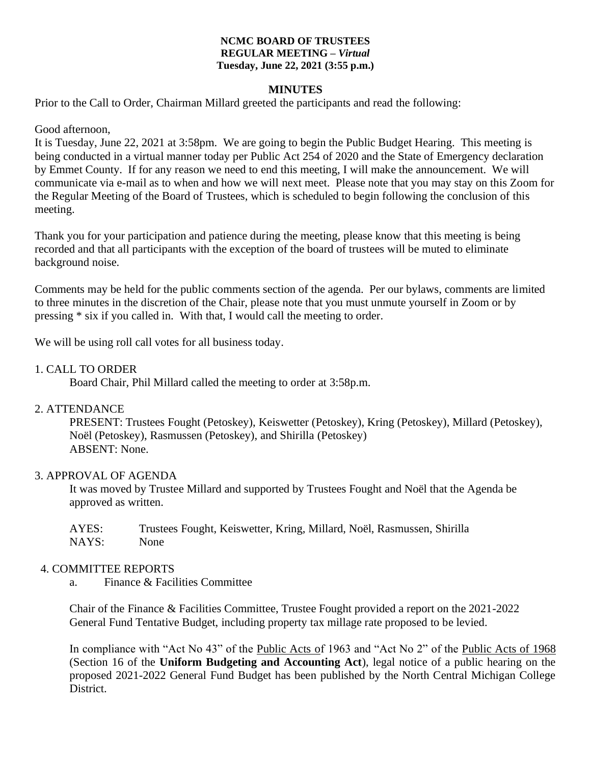#### **NCMC BOARD OF TRUSTEES REGULAR MEETING –** *Virtual* **Tuesday, June 22, 2021 (3:55 p.m.)**

## **MINUTES**

Prior to the Call to Order, Chairman Millard greeted the participants and read the following:

### Good afternoon,

It is Tuesday, June 22, 2021 at 3:58pm. We are going to begin the Public Budget Hearing. This meeting is being conducted in a virtual manner today per Public Act 254 of 2020 and the State of Emergency declaration by Emmet County. If for any reason we need to end this meeting, I will make the announcement. We will communicate via e-mail as to when and how we will next meet. Please note that you may stay on this Zoom for the Regular Meeting of the Board of Trustees, which is scheduled to begin following the conclusion of this meeting.

Thank you for your participation and patience during the meeting, please know that this meeting is being recorded and that all participants with the exception of the board of trustees will be muted to eliminate background noise.

Comments may be held for the public comments section of the agenda. Per our bylaws, comments are limited to three minutes in the discretion of the Chair, please note that you must unmute yourself in Zoom or by pressing \* six if you called in. With that, I would call the meeting to order.

We will be using roll call votes for all business today.

### 1. CALL TO ORDER

Board Chair, Phil Millard called the meeting to order at 3:58p.m.

## 2. ATTENDANCE

PRESENT: Trustees Fought (Petoskey), Keiswetter (Petoskey), Kring (Petoskey), Millard (Petoskey), Noël (Petoskey), Rasmussen (Petoskey), and Shirilla (Petoskey) ABSENT: None.

#### 3. APPROVAL OF AGENDA

It was moved by Trustee Millard and supported by Trustees Fought and Noël that the Agenda be approved as written.

AYES: Trustees Fought, Keiswetter, Kring, Millard, Noël, Rasmussen, Shirilla NAYS: None

#### 4. COMMITTEE REPORTS

a. Finance & Facilities Committee

Chair of the Finance & Facilities Committee, Trustee Fought provided a report on the 2021-2022 General Fund Tentative Budget, including property tax millage rate proposed to be levied.

In compliance with "Act No 43" of the Public Acts of 1963 and "Act No 2" of the Public Acts of 1968 (Section 16 of the **Uniform Budgeting and Accounting Act**), legal notice of a public hearing on the proposed 2021-2022 General Fund Budget has been published by the North Central Michigan College District.